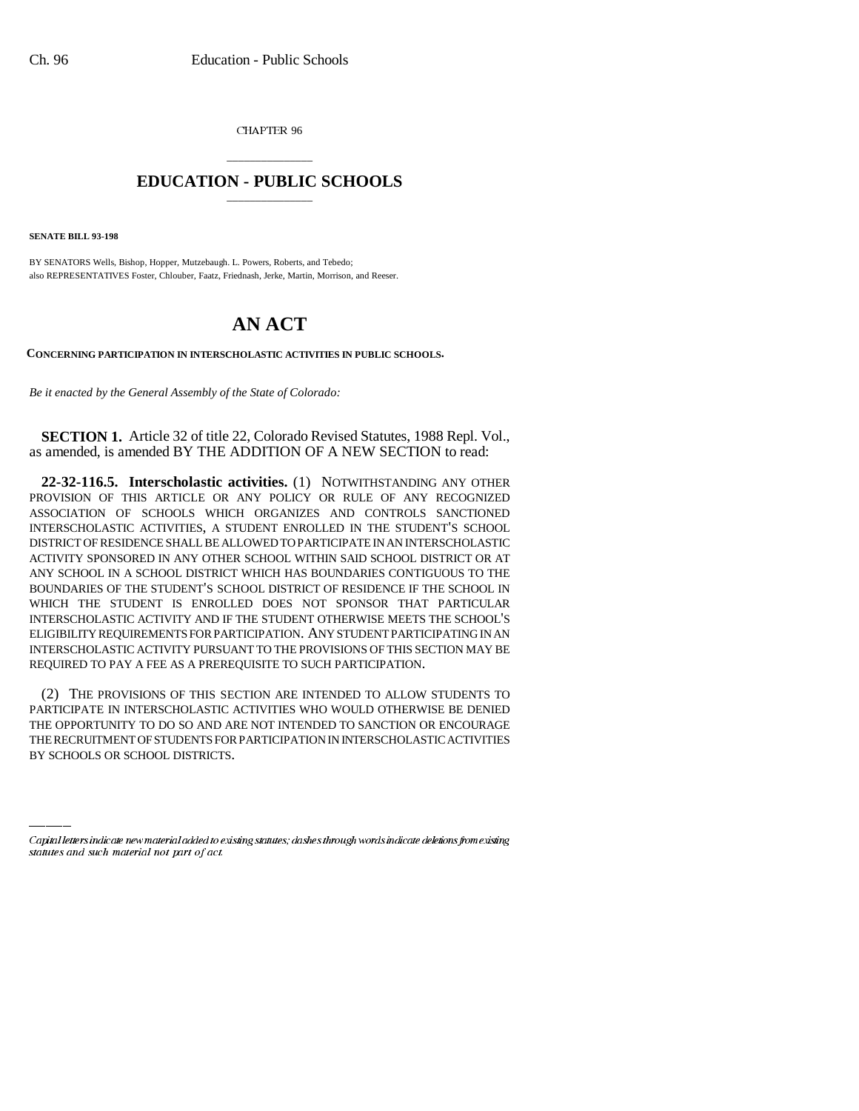CHAPTER 96

## \_\_\_\_\_\_\_\_\_\_\_\_\_\_\_ **EDUCATION - PUBLIC SCHOOLS** \_\_\_\_\_\_\_\_\_\_\_\_\_\_\_

**SENATE BILL 93-198**

BY SENATORS Wells, Bishop, Hopper, Mutzebaugh. L. Powers, Roberts, and Tebedo; also REPRESENTATIVES Foster, Chlouber, Faatz, Friednash, Jerke, Martin, Morrison, and Reeser.

## **AN ACT**

**CONCERNING PARTICIPATION IN INTERSCHOLASTIC ACTIVITIES IN PUBLIC SCHOOLS.**

*Be it enacted by the General Assembly of the State of Colorado:*

**SECTION 1.** Article 32 of title 22, Colorado Revised Statutes, 1988 Repl. Vol., as amended, is amended BY THE ADDITION OF A NEW SECTION to read:

**22-32-116.5. Interscholastic activities.** (1) NOTWITHSTANDING ANY OTHER PROVISION OF THIS ARTICLE OR ANY POLICY OR RULE OF ANY RECOGNIZED ASSOCIATION OF SCHOOLS WHICH ORGANIZES AND CONTROLS SANCTIONED INTERSCHOLASTIC ACTIVITIES, A STUDENT ENROLLED IN THE STUDENT'S SCHOOL DISTRICT OF RESIDENCE SHALL BE ALLOWED TO PARTICIPATE IN AN INTERSCHOLASTIC ACTIVITY SPONSORED IN ANY OTHER SCHOOL WITHIN SAID SCHOOL DISTRICT OR AT ANY SCHOOL IN A SCHOOL DISTRICT WHICH HAS BOUNDARIES CONTIGUOUS TO THE BOUNDARIES OF THE STUDENT'S SCHOOL DISTRICT OF RESIDENCE IF THE SCHOOL IN WHICH THE STUDENT IS ENROLLED DOES NOT SPONSOR THAT PARTICULAR INTERSCHOLASTIC ACTIVITY AND IF THE STUDENT OTHERWISE MEETS THE SCHOOL'S ELIGIBILITY REQUIREMENTS FOR PARTICIPATION. ANY STUDENT PARTICIPATING IN AN INTERSCHOLASTIC ACTIVITY PURSUANT TO THE PROVISIONS OF THIS SECTION MAY BE REQUIRED TO PAY A FEE AS A PREREQUISITE TO SUCH PARTICIPATION.

THE OPPORTUNITY TO DO SO AND ARE NOT INTENDED TO SANCTION OR ENCOURAGE (2) THE PROVISIONS OF THIS SECTION ARE INTENDED TO ALLOW STUDENTS TO PARTICIPATE IN INTERSCHOLASTIC ACTIVITIES WHO WOULD OTHERWISE BE DENIED THE RECRUITMENT OF STUDENTS FOR PARTICIPATION IN INTERSCHOLASTIC ACTIVITIES BY SCHOOLS OR SCHOOL DISTRICTS.

Capital letters indicate new material added to existing statutes; dashes through words indicate deletions from existing statutes and such material not part of act.